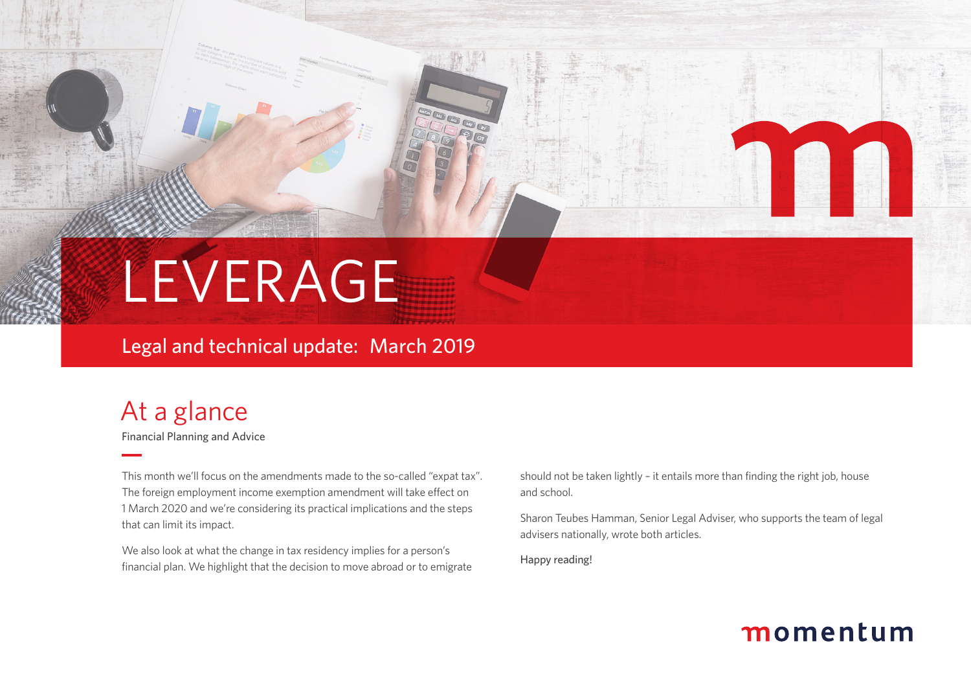

### Legal and technical update: March 2019

# At a glance

Financial Planning and Advice

This month we'll focus on the amendments made to the so-called "expat tax". The foreign employment income exemption amendment will take effect on 1 March 2020 and we're considering its practical implications and the steps that can limit its impact.

We also look at what the change in tax residency implies for a person's financial plan. We highlight that the decision to move abroad or to emigrate should not be taken lightly – it entails more than finding the right job, house and school.

Sharon Teubes Hamman, Senior Legal Adviser, who supports the team of legal advisers nationally, wrote both articles.

Happy reading!

## momentum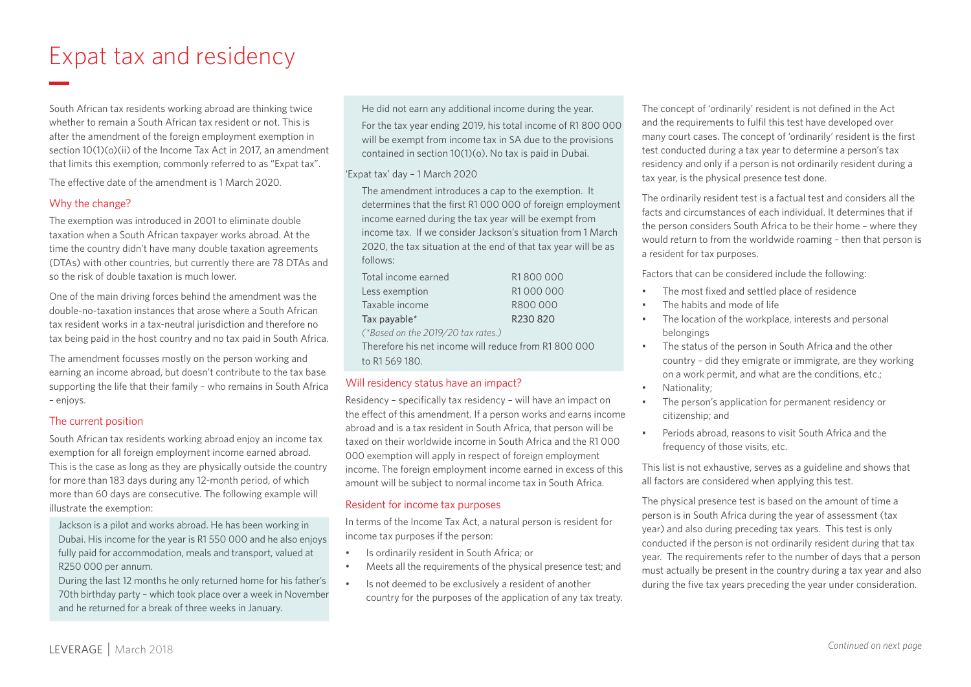# Expat tax and residency

South African tax residents working abroad are thinking twice whether to remain a South African tax resident or not. This is after the amendment of the foreign employment exemption in section 10(1)(o)(ii) of the Income Tax Act in 2017, an amendment that limits this exemption, commonly referred to as "Expat tax".

The effective date of the amendment is 1 March 2020.

#### Why the change?

The exemption was introduced in 2001 to eliminate double taxation when a South African taxpayer works abroad. At the time the country didn't have many double taxation agreements (DTAs) with other countries, but currently there are 78 DTAs and so the risk of double taxation is much lower.

One of the main driving forces behind the amendment was the double-no-taxation instances that arose where a South African tax resident works in a tax-neutral jurisdiction and therefore no tax being paid in the host country and no tax paid in South Africa.

The amendment focusses mostly on the person working and earning an income abroad, but doesn't contribute to the tax base supporting the life that their family – who remains in South Africa – enjoys.

#### The current position

South African tax residents working abroad enjoy an income tax exemption for all foreign employment income earned abroad. This is the case as long as they are physically outside the country for more than 183 days during any 12-month period, of which more than 60 days are consecutive. The following example will illustrate the exemption:

Jackson is a pilot and works abroad. He has been working in Dubai. His income for the year is R1 550 000 and he also enjoys fully paid for accommodation, meals and transport, valued at R250 000 per annum.

During the last 12 months he only returned home for his father's 70th birthday party – which took place over a week in November and he returned for a break of three weeks in January.

He did not earn any additional income during the year.

For the tax year ending 2019, his total income of R1 800 000 will be exempt from income tax in SA due to the provisions contained in section 10(1)(o). No tax is paid in Dubai.

#### 'Expat tax' day – 1 March 2020

The amendment introduces a cap to the exemption. It determines that the first R1 000 000 of foreign employment income earned during the tax year will be exempt from income tax. If we consider Jackson's situation from 1 March 2020, the tax situation at the end of that tax year will be as follows:

| Total income earned | R1800000 |
|---------------------|----------|
| Less exemption      | R1000000 |
| Taxable income      | R800000  |
| Tax payable*        | R230820  |

*(\*Based on the 2019/20 tax rates.)*

Therefore his net income will reduce from R1 800 000 to R1 569 180.

### Will residency status have an impact?

Residency – specifically tax residency – will have an impact on the effect of this amendment. If a person works and earns income abroad and is a tax resident in South Africa, that person will be taxed on their worldwide income in South Africa and the R1 000 000 exemption will apply in respect of foreign employment income. The foreign employment income earned in excess of this amount will be subject to normal income tax in South Africa.

#### Resident for income tax purposes

In terms of the Income Tax Act, a natural person is resident for income tax purposes if the person:

- Is ordinarily resident in South Africa; or
- Meets all the requirements of the physical presence test; and
- Is not deemed to be exclusively a resident of another country for the purposes of the application of any tax treaty.

The concept of 'ordinarily' resident is not defined in the Act and the requirements to fulfil this test have developed over many court cases. The concept of 'ordinarily' resident is the first test conducted during a tax year to determine a person's tax residency and only if a person is not ordinarily resident during a tax year, is the physical presence test done.

The ordinarily resident test is a factual test and considers all the facts and circumstances of each individual. It determines that if the person considers South Africa to be their home – where they would return to from the worldwide roaming – then that person is a resident for tax purposes.

Factors that can be considered include the following:

- The most fixed and settled place of residence
- The habits and mode of life
- The location of the workplace, interests and personal belongings
- The status of the person in South Africa and the other country – did they emigrate or immigrate, are they working on a work permit, and what are the conditions, etc.;
- Nationality;
- The person's application for permanent residency or citizenship; and
- Periods abroad, reasons to visit South Africa and the frequency of those visits, etc.

This list is not exhaustive, serves as a guideline and shows that all factors are considered when applying this test.

The physical presence test is based on the amount of time a person is in South Africa during the year of assessment (tax year) and also during preceding tax years. This test is only conducted if the person is not ordinarily resident during that tax year. The requirements refer to the number of days that a person must actually be present in the country during a tax year and also during the five tax years preceding the year under consideration.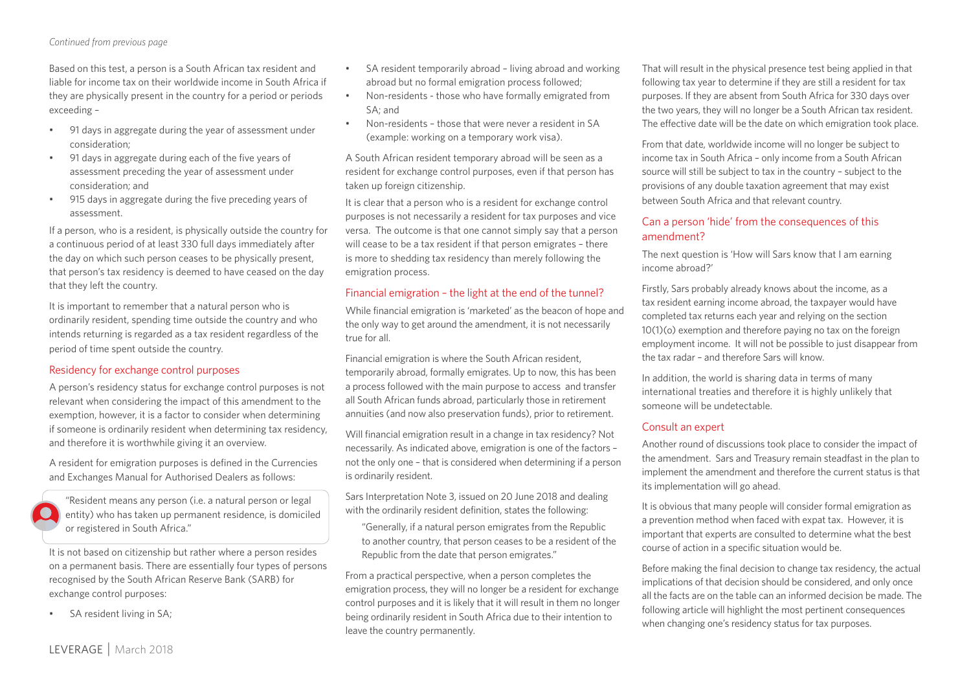#### *Continued from previous page*

Based on this test, a person is a South African tax resident and liable for income tax on their worldwide income in South Africa if they are physically present in the country for a period or periods exceeding –

- 91 days in aggregate during the year of assessment under consideration;
- 91 days in aggregate during each of the five years of assessment preceding the year of assessment under consideration; and
- 915 days in aggregate during the five preceding years of assessment.

If a person, who is a resident, is physically outside the country for a continuous period of at least 330 full days immediately after the day on which such person ceases to be physically present, that person's tax residency is deemed to have ceased on the day that they left the country.

It is important to remember that a natural person who is ordinarily resident, spending time outside the country and who intends returning is regarded as a tax resident regardless of the period of time spent outside the country.

#### Residency for exchange control purposes

A person's residency status for exchange control purposes is not relevant when considering the impact of this amendment to the exemption, however, it is a factor to consider when determining if someone is ordinarily resident when determining tax residency, and therefore it is worthwhile giving it an overview.

A resident for emigration purposes is defined in the Currencies and Exchanges Manual for Authorised Dealers as follows:

"Resident means any person (i.e. a natural person or legal entity) who has taken up permanent residence, is domiciled or registered in South Africa."

It is not based on citizenship but rather where a person resides on a permanent basis. There are essentially four types of persons recognised by the South African Reserve Bank (SARB) for exchange control purposes:

• SA resident living in SA;

- SA resident temporarily abroad living abroad and working abroad but no formal emigration process followed;
- Non-residents those who have formally emigrated from SA; and
- Non-residents those that were never a resident in SA (example: working on a temporary work visa).

A South African resident temporary abroad will be seen as a resident for exchange control purposes, even if that person has taken up foreign citizenship.

It is clear that a person who is a resident for exchange control purposes is not necessarily a resident for tax purposes and vice versa. The outcome is that one cannot simply say that a person will cease to be a tax resident if that person emigrates – there is more to shedding tax residency than merely following the emigration process.

#### Financial emigration – the light at the end of the tunnel?

While financial emigration is 'marketed' as the beacon of hope and the only way to get around the amendment, it is not necessarily true for all.

Financial emigration is where the South African resident, temporarily abroad, formally emigrates. Up to now, this has been a process followed with the main purpose to access and transfer all South African funds abroad, particularly those in retirement annuities (and now also preservation funds), prior to retirement.

Will financial emigration result in a change in tax residency? Not necessarily. As indicated above, emigration is one of the factors – not the only one – that is considered when determining if a person is ordinarily resident.

Sars Interpretation Note 3, issued on 20 June 2018 and dealing with the ordinarily resident definition, states the following:

"Generally, if a natural person emigrates from the Republic to another country, that person ceases to be a resident of the Republic from the date that person emigrates."

From a practical perspective, when a person completes the emigration process, they will no longer be a resident for exchange control purposes and it is likely that it will result in them no longer being ordinarily resident in South Africa due to their intention to leave the country permanently.

That will result in the physical presence test being applied in that following tax year to determine if they are still a resident for tax purposes. If they are absent from South Africa for 330 days over the two years, they will no longer be a South African tax resident. The effective date will be the date on which emigration took place.

From that date, worldwide income will no longer be subject to income tax in South Africa – only income from a South African source will still be subject to tax in the country – subject to the provisions of any double taxation agreement that may exist between South Africa and that relevant country.

#### Can a person 'hide' from the consequences of this amendment?

The next question is 'How will Sars know that I am earning income abroad?'

Firstly, Sars probably already knows about the income, as a tax resident earning income abroad, the taxpayer would have completed tax returns each year and relying on the section 10(1)(o) exemption and therefore paying no tax on the foreign employment income. It will not be possible to just disappear from the tax radar – and therefore Sars will know.

In addition, the world is sharing data in terms of many international treaties and therefore it is highly unlikely that someone will be undetectable.

#### Consult an expert

Another round of discussions took place to consider the impact of the amendment. Sars and Treasury remain steadfast in the plan to implement the amendment and therefore the current status is that its implementation will go ahead.

It is obvious that many people will consider formal emigration as a prevention method when faced with expat tax. However, it is important that experts are consulted to determine what the best course of action in a specific situation would be.

Before making the final decision to change tax residency, the actual implications of that decision should be considered, and only once all the facts are on the table can an informed decision be made. The following article will highlight the most pertinent consequences when changing one's residency status for tax purposes.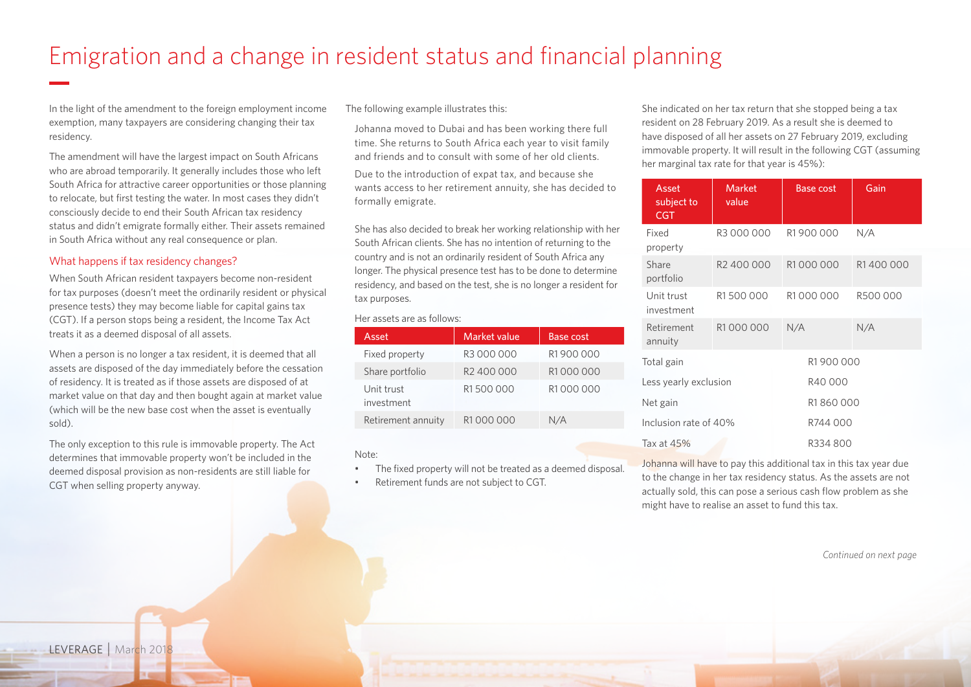# Emigration and a change in resident status and financial planning

In the light of the amendment to the foreign employment income exemption, many taxpayers are considering changing their tax residency.

The amendment will have the largest impact on South Africans who are abroad temporarily. It generally includes those who left South Africa for attractive career opportunities or those planning to relocate, but first testing the water. In most cases they didn't consciously decide to end their South African tax residency status and didn't emigrate formally either. Their assets remained in South Africa without any real consequence or plan.

#### What happens if tax residency changes?

When South African resident taxpayers become non-resident for tax purposes (doesn't meet the ordinarily resident or physical presence tests) they may become liable for capital gains tax (CGT). If a person stops being a resident, the Income Tax Act treats it as a deemed disposal of all assets.

When a person is no longer a tax resident, it is deemed that all assets are disposed of the day immediately before the cessation of residency. It is treated as if those assets are disposed of at market value on that day and then bought again at market value (which will be the new base cost when the asset is eventually sold).

The only exception to this rule is immovable property. The Act determines that immovable property won't be included in the deemed disposal provision as non-residents are still liable for CGT when selling property anyway.

The following example illustrates this:

Johanna moved to Dubai and has been working there full time. She returns to South Africa each year to visit family and friends and to consult with some of her old clients.

Due to the introduction of expat tax, and because she wants access to her retirement annuity, she has decided to formally emigrate.

She has also decided to break her working relationship with her South African clients. She has no intention of returning to the country and is not an ordinarily resident of South Africa any longer. The physical presence test has to be done to determine residency, and based on the test, she is no longer a resident for tax purposes.

#### Her assets are as follows:

| Asset                    | Market value           | Base cost |
|--------------------------|------------------------|-----------|
| Fixed property           | R3 000 000             | R1900000  |
| Share portfolio          | R <sub>2</sub> 400 000 | R1000000  |
| Unit trust<br>investment | R1500000               | R1000000  |
| Retirement annuity       | R1000000               | N/A       |

#### Note:

- The fixed property will not be treated as a deemed disposal.
- Retirement funds are not subject to CGT.

She indicated on her tax return that she stopped being a tax resident on 28 February 2019. As a result she is deemed to have disposed of all her assets on 27 February 2019, excluding immovable property. It will result in the following CGT (assuming her marginal tax rate for that year is 45%):

| Asset<br>subject to<br><b>CGT</b> | <b>Market</b><br>value           | <b>Base cost</b> | Gain     |
|-----------------------------------|----------------------------------|------------------|----------|
| Fixed<br>property                 | R3 000 000                       | R1900000         | N/A      |
| Share<br>portfolio                | R <sub>2</sub> 400 000           | R1000000         | R1400000 |
| Unit trust<br>investment          | R1500000                         | R1000000         | R500 000 |
| Retirement<br>annuity             | R1000000                         | N/A              | N/A      |
| Total gain                        |                                  | R1900000         |          |
|                                   | R40000<br>Less yearly exclusion  |                  |          |
| Net gain                          | R1860000                         |                  |          |
|                                   | Inclusion rate of 40%<br>R744000 |                  |          |
| Tax at $45%$                      |                                  | R334800          |          |

Johanna will have to pay this additional tax in this tax year due to the change in her tax residency status. As the assets are not actually sold, this can pose a serious cash flow problem as she might have to realise an asset to fund this tax.

*Continued on next page*

LEVERAGE | March 2018